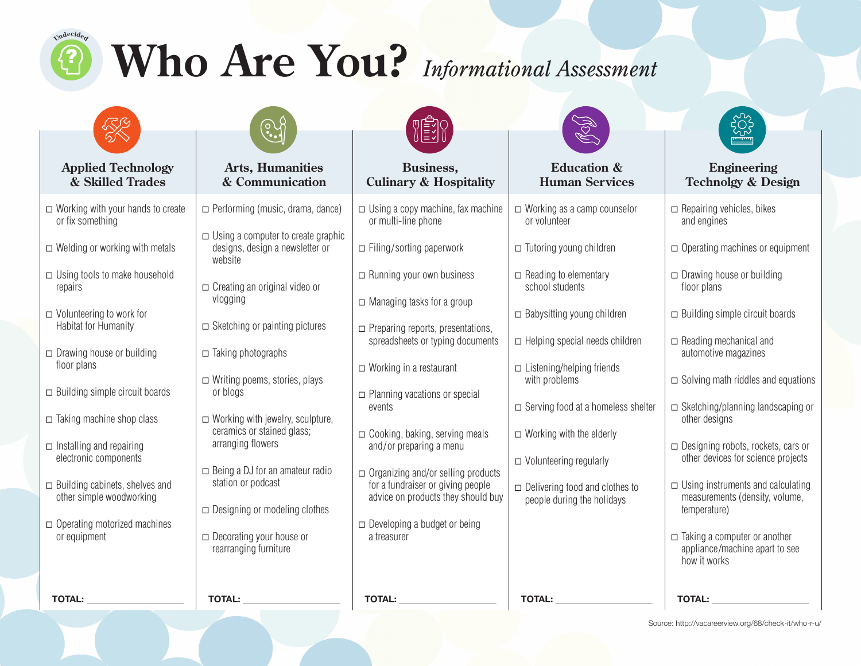# $\omega$ **Who Are You?** *Informational Assessment*



# **Applied Technology & Skilled Trades**

- ◻ Working with your hands to create or fix something
- $\Box$  Welding or working with metals
- $\Box$  Using tools to make household repairs
- ◻ Volunteering to work for Habitat for Humanity
- ◻ Drawing house or building floor plans
- ◻ Building simple circuit boards
- ◻ Taking machine shop class
- $\Box$  Installing and repairing electronic components
- ◻ Building cabinets, shelves and other simple woodworking
- ◻ Operating motorized machines or equipment

#### **Arts, Humanities & Communication**

- ◻ Performing (music, drama, dance)
- $\Box$  Using a computer to create graphic designs, design a newsletter or website
- ◻ Creating an original video or vlogging
- $\Box$  Sketching or painting pictures
- ◻ Taking photographs
- ◻ Writing poems, stories, plays or blogs
- $\Box$  Working with jewelry, sculpture, ceramics or stained glass; arranging flowers
- ◻ Being a DJ for an amateur radio station or podcast
- ◻ Designing or modeling clothes
- ◻ Decorating your house or rearranging furniture



### **Business, Culinary & Hospitality**

- $\Box$  Using a copy machine, fax machine or multi-line phone
- ◻ Filing/sorting paperwork
- ◻ Running your own business
- ◻ Managing tasks for a group
- ◻ Preparing reports, presentations, spreadsheets or typing documents
- ◻ Working in a restaurant
- ◻ Planning vacations or special events
- ◻ Cooking, baking, serving meals and/or preparing a menu
- ◻ Organizing and/or selling products for a fundraiser or giving people advice on products they should buy
- ◻ Developing a budget or being a treasurer



#### **Education & Human Services**

- ◻ Working as a camp counselor or volunteer
- ◻ Tutoring young children
- $\Box$  Reading to elementary school students
- ◻ Babysitting young children
- ◻ Helping special needs children
- ◻ Listening/helping friends with problems
- ◻ Serving food at a homeless shelter
- $\Box$  Working with the elderly
- ◻ Volunteering regularly
- ◻ Delivering food and clothes to people during the holidays



### **Engineering Technolgy & Design**

- $\Box$  Repairing vehicles, bikes and engines ◻ Operating machines or equipment ◻ Drawing house or building
- floor plans
- ◻ Building simple circuit boards
- ◻ Reading mechanical and automotive magazines
- $\Box$  Solving math riddles and equations
- ◻ Sketching/planning landscaping or other designs
- ◻ Designing robots, rockets, cars or other devices for science projects
- $\Box$  Using instruments and calculating measurements (density, volume, temperature)
- ◻ Taking a computer or another appliance/machine apart to see how it works

**TOTAL: \_\_\_\_\_\_\_\_\_\_\_\_\_\_\_\_\_\_\_\_\_ TOTAL: \_\_\_\_\_\_\_\_\_\_\_\_\_\_\_\_\_\_\_\_\_ TOTAL: \_\_\_\_\_\_\_\_\_\_\_\_\_\_\_\_\_\_\_\_\_ TOTAL: \_\_\_\_\_\_\_\_\_\_\_\_\_\_\_\_\_\_\_\_\_ TOTAL: \_\_\_\_\_\_\_\_\_\_\_\_\_\_\_\_\_\_\_\_\_**

Source: http://vacareerview.org/68/check-it/who-r-u/